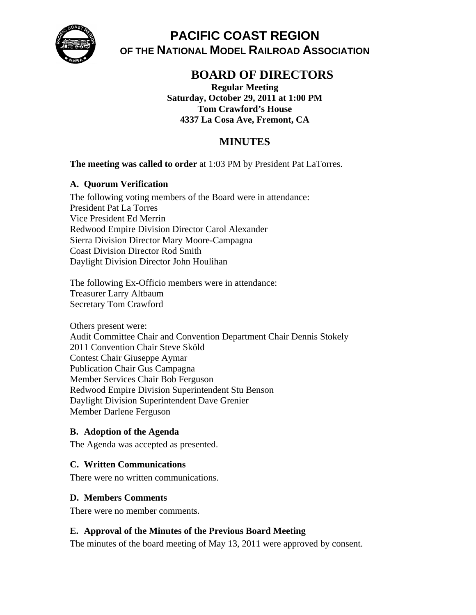

**PACIFIC COAST REGION OF THE NATIONAL MODEL RAILROAD ASSOCIATION** 

# **BOARD OF DIRECTORS**

**Regular Meeting Saturday, October 29, 2011 at 1:00 PM Tom Crawford's House 4337 La Cosa Ave, Fremont, CA** 

# **MINUTES**

**The meeting was called to order** at 1:03 PM by President Pat LaTorres.

# **A. Quorum Verification**

The following voting members of the Board were in attendance: President Pat La Torres Vice President Ed Merrin Redwood Empire Division Director Carol Alexander Sierra Division Director Mary Moore-Campagna Coast Division Director Rod Smith Daylight Division Director John Houlihan

The following Ex-Officio members were in attendance: Treasurer Larry Altbaum Secretary Tom Crawford

Others present were: Audit Committee Chair and Convention Department Chair Dennis Stokely 2011 Convention Chair Steve Sköld Contest Chair Giuseppe Aymar Publication Chair Gus Campagna Member Services Chair Bob Ferguson Redwood Empire Division Superintendent Stu Benson Daylight Division Superintendent Dave Grenier Member Darlene Ferguson

# **B. Adoption of the Agenda**

The Agenda was accepted as presented.

# **C. Written Communications**

There were no written communications.

# **D. Members Comments**

There were no member comments.

# **E. Approval of the Minutes of the Previous Board Meeting**

The minutes of the board meeting of May 13, 2011 were approved by consent.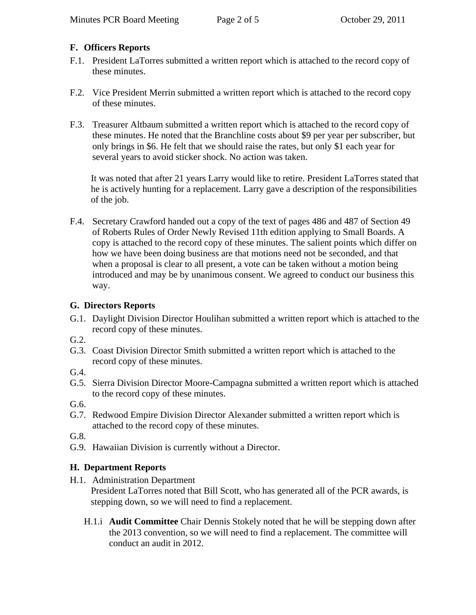# **F. Officers Reports**

- F.1. President LaTorres submitted a written report which is attached to the record copy of these minutes.
- F.2. Vice President Merrin submitted a written report which is attached to the record copy of these minutes.
- F.3. Treasurer Altbaum submitted a written report which is attached to the record copy of these minutes. He noted that the Branchline costs about \$9 per year per subscriber, but only brings in \$6. He felt that we should raise the rates, but only \$1 each year for several years to avoid sticker shock. No action was taken.

It was noted that after 21 years Larry would like to retire. President LaTorres stated that he is actively hunting for a replacement. Larry gave a description of the responsibilities of the job.

F.4. Secretary Crawford handed out a copy of the text of pages 486 and 487 of Section 49 of Roberts Rules of Order Newly Revised 11th edition applying to Small Boards. A copy is attached to the record copy of these minutes. The salient points which differ on how we have been doing business are that motions need not be seconded, and that when a proposal is clear to all present, a vote can be taken without a motion being introduced and may be by unanimous consent. We agreed to conduct our business this way.

# **G. Directors Reports**

- G.1. Daylight Division Director Houlihan submitted a written report which is attached to the record copy of these minutes.
- G.2.
- G.3. Coast Division Director Smith submitted a written report which is attached to the record copy of these minutes.

G.4.

G.5. Sierra Division Director Moore-Campagna submitted a written report which is attached to the record copy of these minutes.

G.6.

G.7. Redwood Empire Division Director Alexander submitted a written report which is attached to the record copy of these minutes.

G.8.

G.9. Hawaiian Division is currently without a Director.

# **H. Department Reports**

- H.1. Administration Department President LaTorres noted that Bill Scott, who has generated all of the PCR awards, is stepping down, so we will need to find a replacement.
	- H.1.i **Audit Committee** Chair Dennis Stokely noted that he will be stepping down after the 2013 convention, so we will need to find a replacement. The committee will conduct an audit in 2012.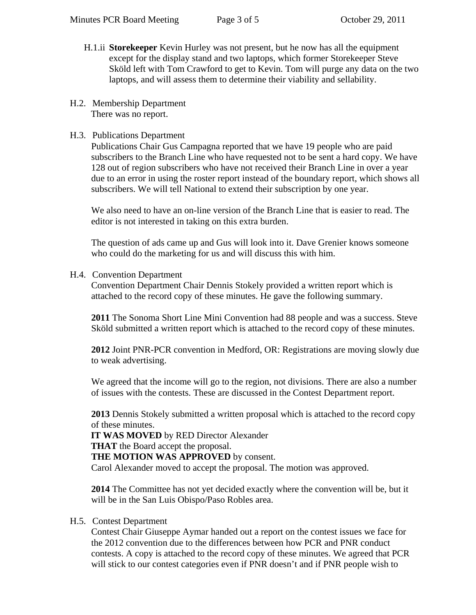- H.1.ii **Storekeeper** Kevin Hurley was not present, but he now has all the equipment except for the display stand and two laptops, which former Storekeeper Steve Sköld left with Tom Crawford to get to Kevin. Tom will purge any data on the two laptops, and will assess them to determine their viability and sellability.
- H.2. Membership Department There was no report.
- H.3. Publications Department

Publications Chair Gus Campagna reported that we have 19 people who are paid subscribers to the Branch Line who have requested not to be sent a hard copy. We have 128 out of region subscribers who have not received their Branch Line in over a year due to an error in using the roster report instead of the boundary report, which shows all subscribers. We will tell National to extend their subscription by one year.

We also need to have an on-line version of the Branch Line that is easier to read. The editor is not interested in taking on this extra burden.

The question of ads came up and Gus will look into it. Dave Grenier knows someone who could do the marketing for us and will discuss this with him.

H.4. Convention Department

Convention Department Chair Dennis Stokely provided a written report which is attached to the record copy of these minutes. He gave the following summary.

**2011** The Sonoma Short Line Mini Convention had 88 people and was a success. Steve Sköld submitted a written report which is attached to the record copy of these minutes.

**2012** Joint PNR-PCR convention in Medford, OR: Registrations are moving slowly due to weak advertising.

We agreed that the income will go to the region, not divisions. There are also a number of issues with the contests. These are discussed in the Contest Department report.

**2013** Dennis Stokely submitted a written proposal which is attached to the record copy of these minutes.

**IT WAS MOVED** by RED Director Alexander

### **THAT** the Board accept the proposal.

**THE MOTION WAS APPROVED** by consent.

Carol Alexander moved to accept the proposal. The motion was approved.

**2014** The Committee has not yet decided exactly where the convention will be, but it will be in the San Luis Obispo/Paso Robles area.

### H.5. Contest Department

Contest Chair Giuseppe Aymar handed out a report on the contest issues we face for the 2012 convention due to the differences between how PCR and PNR conduct contests. A copy is attached to the record copy of these minutes. We agreed that PCR will stick to our contest categories even if PNR doesn't and if PNR people wish to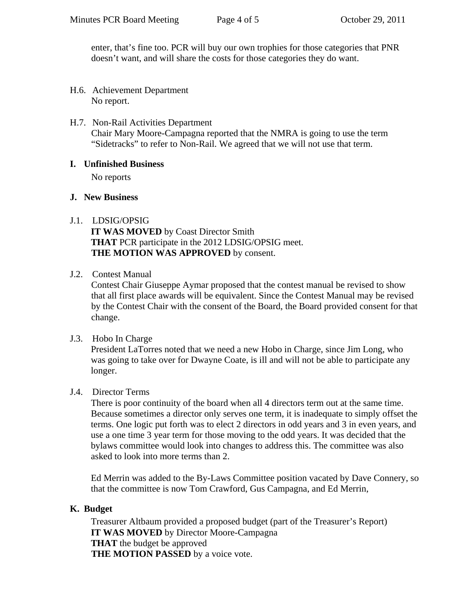enter, that's fine too. PCR will buy our own trophies for those categories that PNR doesn't want, and will share the costs for those categories they do want.

- H.6. Achievement Department No report.
- H.7. Non-Rail Activities Department Chair Mary Moore-Campagna reported that the NMRA is going to use the term "Sidetracks" to refer to Non-Rail. We agreed that we will not use that term.

### **I. Unfinished Business**

No reports

## **J. New Business**

# J.1. LDSIG/OPSIG

**IT WAS MOVED** by Coast Director Smith **THAT** PCR participate in the 2012 LDSIG/OPSIG meet. **THE MOTION WAS APPROVED** by consent.

## J.2. Contest Manual

Contest Chair Giuseppe Aymar proposed that the contest manual be revised to show that all first place awards will be equivalent. Since the Contest Manual may be revised by the Contest Chair with the consent of the Board, the Board provided consent for that change.

### J.3. Hobo In Charge

President LaTorres noted that we need a new Hobo in Charge, since Jim Long, who was going to take over for Dwayne Coate, is ill and will not be able to participate any longer.

# J.4. Director Terms

There is poor continuity of the board when all 4 directors term out at the same time. Because sometimes a director only serves one term, it is inadequate to simply offset the terms. One logic put forth was to elect 2 directors in odd years and 3 in even years, and use a one time 3 year term for those moving to the odd years. It was decided that the bylaws committee would look into changes to address this. The committee was also asked to look into more terms than 2.

Ed Merrin was added to the By-Laws Committee position vacated by Dave Connery, so that the committee is now Tom Crawford, Gus Campagna, and Ed Merrin,

# **K. Budget**

Treasurer Altbaum provided a proposed budget (part of the Treasurer's Report) **IT WAS MOVED** by Director Moore-Campagna **THAT** the budget be approved **THE MOTION PASSED** by a voice vote.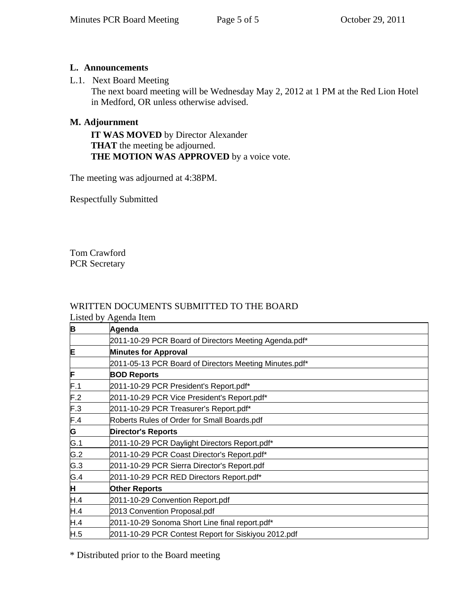# **L. Announcements**

## L.1. Next Board Meeting

The next board meeting will be Wednesday May 2, 2012 at 1 PM at the Red Lion Hotel in Medford, OR unless otherwise advised.

# **M. Adjournment**

**IT WAS MOVED** by Director Alexander **THAT** the meeting be adjourned. **THE MOTION WAS APPROVED** by a voice vote.

The meeting was adjourned at 4:38PM.

Respectfully Submitted

Tom Crawford PCR Secretary

# WRITTEN DOCUMENTS SUBMITTED TO THE BOARD

Listed by Agenda Item

| B   | Agenda                                                 |
|-----|--------------------------------------------------------|
|     | 2011-10-29 PCR Board of Directors Meeting Agenda.pdf*  |
| E   | <b>Minutes for Approval</b>                            |
|     | 2011-05-13 PCR Board of Directors Meeting Minutes.pdf* |
| F   | <b>BOD Reports</b>                                     |
| F.1 | 2011-10-29 PCR President's Report.pdf*                 |
| F.2 | 2011-10-29 PCR Vice President's Report.pdf*            |
| F.3 | 2011-10-29 PCR Treasurer's Report.pdf*                 |
| F.4 | Roberts Rules of Order for Small Boards.pdf            |
| G   | <b>Director's Reports</b>                              |
| G.1 | 2011-10-29 PCR Daylight Directors Report.pdf*          |
| G.2 | 2011-10-29 PCR Coast Director's Report.pdf*            |
| G.3 | 2011-10-29 PCR Sierra Director's Report.pdf            |
| G.4 | 2011-10-29 PCR RED Directors Report.pdf*               |
| H.  | <b>Other Reports</b>                                   |
| H.4 | 2011-10-29 Convention Report.pdf                       |
| H.4 | 2013 Convention Proposal.pdf                           |
| H.4 | 2011-10-29 Sonoma Short Line final report.pdf*         |
| H.5 | 2011-10-29 PCR Contest Report for Siskiyou 2012.pdf    |

\* Distributed prior to the Board meeting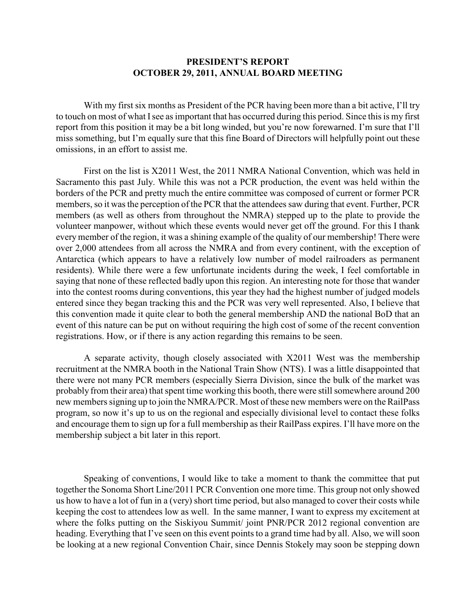### **PRESIDENT'S REPORT OCTOBER 29, 2011, ANNUAL BOARD MEETING**

With my first six months as President of the PCR having been more than a bit active, I'll try to touch on most of what Isee as important that has occurred during this period. Since this is my first report from this position it may be a bit long winded, but you're now forewarned. I'm sure that I'll miss something, but I'm equally sure that this fine Board of Directors will helpfully point out these omissions, in an effort to assist me.

First on the list is X2011 West, the 2011 NMRA National Convention, which was held in Sacramento this past July. While this was not a PCR production, the event was held within the borders of the PCR and pretty much the entire committee was composed of current or former PCR members, so it was the perception of the PCR that the attendees saw during that event. Further, PCR members (as well as others from throughout the NMRA) stepped up to the plate to provide the volunteer manpower, without which these events would never get off the ground. For this I thank every member of the region, it was a shining example of the quality of our membership! There were over 2,000 attendees from all across the NMRA and from every continent, with the exception of Antarctica (which appears to have a relatively low number of model railroaders as permanent residents). While there were a few unfortunate incidents during the week, I feel comfortable in saying that none of these reflected badly upon this region. An interesting note for those that wander into the contest rooms during conventions, this year they had the highest number of judged models entered since they began tracking this and the PCR was very well represented. Also, I believe that this convention made it quite clear to both the general membership AND the national BoD that an event of this nature can be put on without requiring the high cost of some of the recent convention registrations. How, or if there is any action regarding this remains to be seen.

A separate activity, though closely associated with X2011 West was the membership recruitment at the NMRA booth in the National Train Show (NTS). I was a little disappointed that there were not many PCR members (especially Sierra Division, since the bulk of the market was probably from their area) that spent time working this booth, there were still somewhere around 200 new members signing up to join the NMRA/PCR. Most of these new members were on the RailPass program, so now it's up to us on the regional and especially divisional level to contact these folks and encourage them to sign up for a full membership as their RailPass expires. I'll have more on the membership subject a bit later in this report.

Speaking of conventions, I would like to take a moment to thank the committee that put together the Sonoma Short Line/2011 PCR Convention one more time. This group not only showed us how to have a lot of fun in a (very) short time period, but also managed to cover their costs while keeping the cost to attendees low as well. In the same manner, I want to express my excitement at where the folks putting on the Siskiyou Summit/ joint PNR/PCR 2012 regional convention are heading. Everything that I've seen on this event points to a grand time had by all. Also, we will soon be looking at a new regional Convention Chair, since Dennis Stokely may soon be stepping down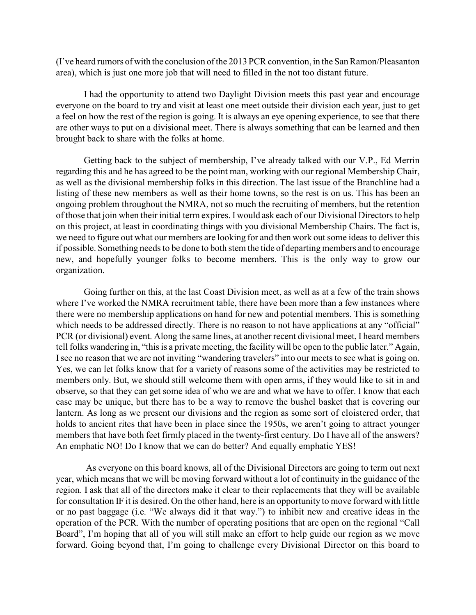(I've heard rumors of with the conclusion of the 2013 PCR convention, in the San Ramon/Pleasanton area), which is just one more job that will need to filled in the not too distant future.

I had the opportunity to attend two Daylight Division meets this past year and encourage everyone on the board to try and visit at least one meet outside their division each year, just to get a feel on how the rest of the region is going. It is always an eye opening experience, to see that there are other ways to put on a divisional meet. There is always something that can be learned and then brought back to share with the folks at home.

Getting back to the subject of membership, I've already talked with our V.P., Ed Merrin regarding this and he has agreed to be the point man, working with our regional Membership Chair, as well as the divisional membership folks in this direction. The last issue of the Branchline had a listing of these new members as well as their home towns, so the rest is on us. This has been an ongoing problem throughout the NMRA, not so much the recruiting of members, but the retention of those that join when their initial term expires. I would ask each of our Divisional Directors to help on this project, at least in coordinating things with you divisional Membership Chairs. The fact is, we need to figure out what our members are looking for and then work out some ideas to deliver this if possible. Something needs to be done to both stem the tide of departing members and to encourage new, and hopefully younger folks to become members. This is the only way to grow our organization.

Going further on this, at the last Coast Division meet, as well as at a few of the train shows where I've worked the NMRA recruitment table, there have been more than a few instances where there were no membership applications on hand for new and potential members. This is something which needs to be addressed directly. There is no reason to not have applications at any "official" PCR (or divisional) event. Along the same lines, at another recent divisional meet, I heard members tell folks wandering in, "this is a private meeting, the facility will be open to the public later." Again, I see no reason that we are not inviting "wandering travelers" into our meets to see what is going on. Yes, we can let folks know that for a variety of reasons some of the activities may be restricted to members only. But, we should still welcome them with open arms, if they would like to sit in and observe, so that they can get some idea of who we are and what we have to offer. I know that each case may be unique, but there has to be a way to remove the bushel basket that is covering our lantern. As long as we present our divisions and the region as some sort of cloistered order, that holds to ancient rites that have been in place since the 1950s, we aren't going to attract younger members that have both feet firmly placed in the twenty-first century. Do I have all of the answers? An emphatic NO! Do I know that we can do better? And equally emphatic YES!

 As everyone on this board knows, all of the Divisional Directors are going to term out next year, which means that we will be moving forward without a lot of continuity in the guidance of the region. I ask that all of the directors make it clear to their replacements that they will be available for consultation IF it is desired. On the other hand, here is an opportunity to move forward with little or no past baggage (i.e. "We always did it that way.") to inhibit new and creative ideas in the operation of the PCR. With the number of operating positions that are open on the regional "Call Board", I'm hoping that all of you will still make an effort to help guide our region as we move forward. Going beyond that, I'm going to challenge every Divisional Director on this board to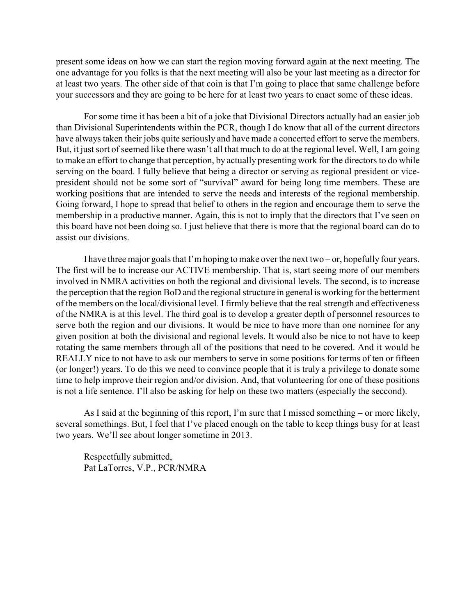present some ideas on how we can start the region moving forward again at the next meeting. The one advantage for you folks is that the next meeting will also be your last meeting as a director for at least two years. The other side of that coin is that I'm going to place that same challenge before your successors and they are going to be here for at least two years to enact some of these ideas.

For some time it has been a bit of a joke that Divisional Directors actually had an easier job than Divisional Superintendents within the PCR, though I do know that all of the current directors have always taken their jobs quite seriously and have made a concerted effort to serve the members. But, it just sort of seemed like there wasn't all that much to do at the regional level. Well, I am going to make an effort to change that perception, by actually presenting work for the directors to do while serving on the board. I fully believe that being a director or serving as regional president or vicepresident should not be some sort of "survival" award for being long time members. These are working positions that are intended to serve the needs and interests of the regional membership. Going forward, I hope to spread that belief to others in the region and encourage them to serve the membership in a productive manner. Again, this is not to imply that the directors that I've seen on this board have not been doing so. I just believe that there is more that the regional board can do to assist our divisions.

I have three major goals that I'm hoping to make over the next two – or, hopefully four years. The first will be to increase our ACTIVE membership. That is, start seeing more of our members involved in NMRA activities on both the regional and divisional levels. The second, is to increase the perception that the region BoD and the regional structure in general is working for the betterment of the members on the local/divisional level. I firmly believe that the real strength and effectiveness of the NMRA is at this level. The third goal is to develop a greater depth of personnel resources to serve both the region and our divisions. It would be nice to have more than one nominee for any given position at both the divisional and regional levels. It would also be nice to not have to keep rotating the same members through all of the positions that need to be covered. And it would be REALLY nice to not have to ask our members to serve in some positions for terms of ten or fifteen (or longer!) years. To do this we need to convince people that it is truly a privilege to donate some time to help improve their region and/or division. And, that volunteering for one of these positions is not a life sentence. I'll also be asking for help on these two matters (especially the seccond).

As I said at the beginning of this report, I'm sure that I missed something – or more likely, several somethings. But, I feel that I've placed enough on the table to keep things busy for at least two years. We'll see about longer sometime in 2013.

Respectfully submitted, Pat LaTorres, V.P., PCR/NMRA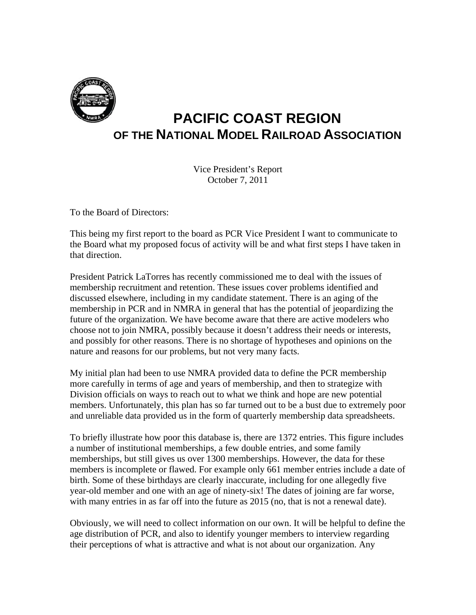

# **PACIFIC COAST REGION OF THE NATIONAL MODEL RAILROAD ASSOCIATION**

Vice President's Report October 7, 2011

To the Board of Directors:

This being my first report to the board as PCR Vice President I want to communicate to the Board what my proposed focus of activity will be and what first steps I have taken in that direction.

President Patrick LaTorres has recently commissioned me to deal with the issues of membership recruitment and retention. These issues cover problems identified and discussed elsewhere, including in my candidate statement. There is an aging of the membership in PCR and in NMRA in general that has the potential of jeopardizing the future of the organization. We have become aware that there are active modelers who choose not to join NMRA, possibly because it doesn't address their needs or interests, and possibly for other reasons. There is no shortage of hypotheses and opinions on the nature and reasons for our problems, but not very many facts.

My initial plan had been to use NMRA provided data to define the PCR membership more carefully in terms of age and years of membership, and then to strategize with Division officials on ways to reach out to what we think and hope are new potential members. Unfortunately, this plan has so far turned out to be a bust due to extremely poor and unreliable data provided us in the form of quarterly membership data spreadsheets.

To briefly illustrate how poor this database is, there are 1372 entries. This figure includes a number of institutional memberships, a few double entries, and some family memberships, but still gives us over 1300 memberships. However, the data for these members is incomplete or flawed. For example only 661 member entries include a date of birth. Some of these birthdays are clearly inaccurate, including for one allegedly five year-old member and one with an age of ninety-six! The dates of joining are far worse, with many entries in as far off into the future as 2015 (no, that is not a renewal date).

Obviously, we will need to collect information on our own. It will be helpful to define the age distribution of PCR, and also to identify younger members to interview regarding their perceptions of what is attractive and what is not about our organization. Any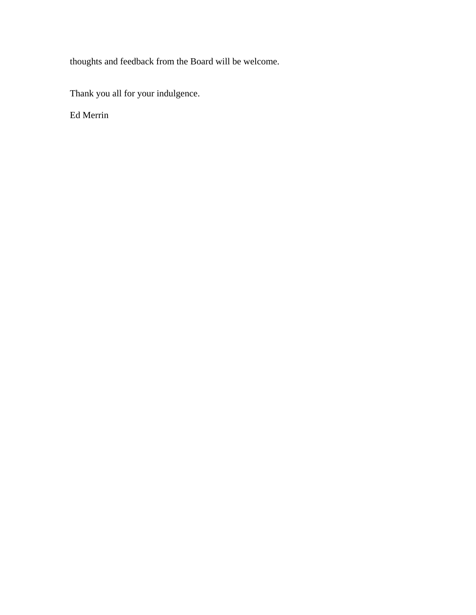thoughts and feedback from the Board will be welcome.

Thank you all for your indulgence.

Ed Merrin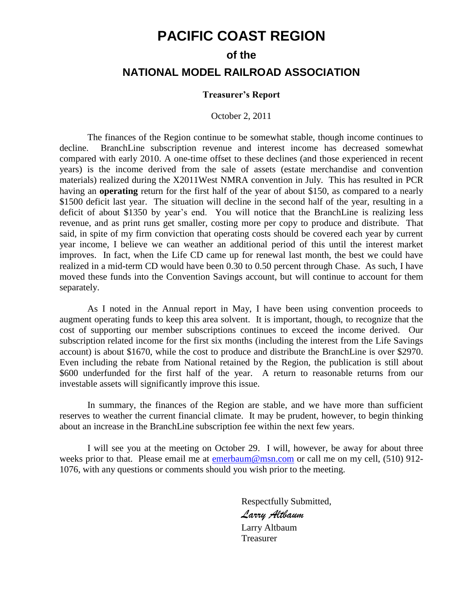# **PACIFIC COAST REGION**

#### **of the**

# **NATIONAL MODEL RAILROAD ASSOCIATION**

#### **Treasurer's Report**

#### October 2, 2011

The finances of the Region continue to be somewhat stable, though income continues to decline. BranchLine subscription revenue and interest income has decreased somewhat compared with early 2010. A one-time offset to these declines (and those experienced in recent years) is the income derived from the sale of assets (estate merchandise and convention materials) realized during the X2011West NMRA convention in July. This has resulted in PCR having an **operating** return for the first half of the year of about \$150, as compared to a nearly \$1500 deficit last year. The situation will decline in the second half of the year, resulting in a deficit of about \$1350 by year's end. You will notice that the BranchLine is realizing less revenue, and as print runs get smaller, costing more per copy to produce and distribute. That said, in spite of my firm conviction that operating costs should be covered each year by current year income, I believe we can weather an additional period of this until the interest market improves. In fact, when the Life CD came up for renewal last month, the best we could have realized in a mid-term CD would have been 0.30 to 0.50 percent through Chase. As such, I have moved these funds into the Convention Savings account, but will continue to account for them separately.

As I noted in the Annual report in May, I have been using convention proceeds to augment operating funds to keep this area solvent. It is important, though, to recognize that the cost of supporting our member subscriptions continues to exceed the income derived. Our subscription related income for the first six months (including the interest from the Life Savings account) is about \$1670, while the cost to produce and distribute the BranchLine is over \$2970. Even including the rebate from National retained by the Region, the publication is still about \$600 underfunded for the first half of the year. A return to reasonable returns from our investable assets will significantly improve this issue.

In summary, the finances of the Region are stable, and we have more than sufficient reserves to weather the current financial climate. It may be prudent, however, to begin thinking about an increase in the BranchLine subscription fee within the next few years.

I will see you at the meeting on October 29. I will, however, be away for about three weeks prior to that. Please email me at [emerbaum@msn.com](mailto:emerbaum@msn.com) or call me on my cell, (510) 912-1076, with any questions or comments should you wish prior to the meeting.

> Respectfully Submitted, *Larry Altbaum* Larry Altbaum Treasurer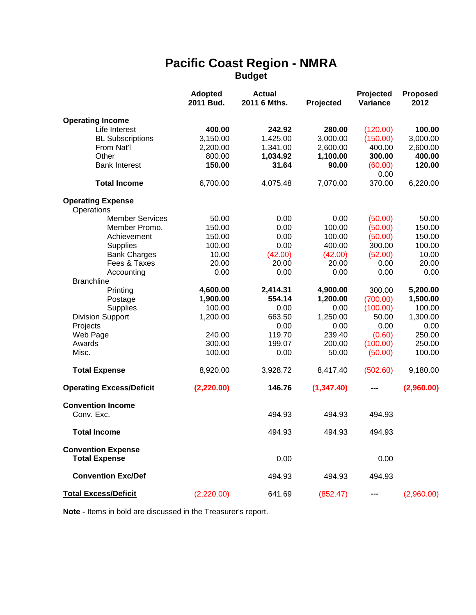# **Pacific Coast Region - NMRA Budget**

|                                        | <b>Adopted</b><br>2011 Bud. | <b>Actual</b><br>2011 6 Mths. | Projected  | Projected<br>Variance | <b>Proposed</b><br>2012 |
|----------------------------------------|-----------------------------|-------------------------------|------------|-----------------------|-------------------------|
| <b>Operating Income</b>                |                             |                               |            |                       |                         |
| Life Interest                          | 400.00                      | 242.92                        | 280.00     | (120.00)              | 100.00                  |
| <b>BL Subscriptions</b>                | 3,150.00                    | 1,425.00                      | 3,000.00   | (150.00)              | 3,000.00                |
| From Nat'l                             | 2,200.00                    | 1,341.00                      | 2,600.00   | 400.00                | 2,600.00                |
| Other                                  | 800.00                      | 1,034.92                      | 1,100.00   | 300.00                | 400.00                  |
| <b>Bank Interest</b>                   | 150.00                      | 31.64                         | 90.00      | (60.00)               | 120.00                  |
|                                        |                             |                               |            | 0.00                  |                         |
| <b>Total Income</b>                    | 6,700.00                    | 4,075.48                      | 7,070.00   | 370.00                | 6,220.00                |
| <b>Operating Expense</b><br>Operations |                             |                               |            |                       |                         |
| <b>Member Services</b>                 | 50.00                       | 0.00                          | 0.00       | (50.00)               | 50.00                   |
| Member Promo.                          | 150.00                      | 0.00                          | 100.00     | (50.00)               | 150.00                  |
| Achievement                            | 150.00                      | 0.00                          | 100.00     | (50.00)               | 150.00                  |
| <b>Supplies</b>                        | 100.00                      | 0.00                          | 400.00     | 300.00                | 100.00                  |
| <b>Bank Charges</b>                    | 10.00                       | (42.00)                       | (42.00)    | (52.00)               | 10.00                   |
| Fees & Taxes                           | 20.00                       | 20.00                         | 20.00      | 0.00                  | 20.00                   |
| Accounting                             | 0.00                        | 0.00                          | 0.00       | 0.00                  | 0.00                    |
| <b>Branchline</b>                      |                             |                               |            |                       |                         |
| Printing                               | 4,600.00                    | 2,414.31                      | 4,900.00   | 300.00                | 5,200.00                |
| Postage                                | 1,900.00                    | 554.14                        | 1,200.00   | (700.00)              | 1,500.00                |
| <b>Supplies</b>                        | 100.00                      | 0.00                          | 0.00       | (100.00)              | 100.00                  |
| <b>Division Support</b>                | 1,200.00                    | 663.50                        | 1,250.00   | 50.00                 | 1,300.00                |
| Projects                               |                             | 0.00                          | 0.00       | 0.00                  | 0.00                    |
| Web Page                               | 240.00                      | 119.70                        | 239.40     | (0.60)                | 250.00                  |
| Awards                                 | 300.00                      | 199.07                        | 200.00     | (100.00)              | 250.00                  |
| Misc.                                  | 100.00                      | 0.00                          | 50.00      | (50.00)               | 100.00                  |
| <b>Total Expense</b>                   | 8,920.00                    | 3,928.72                      | 8,417.40   | (502.60)              | 9,180.00                |
| <b>Operating Excess/Deficit</b>        | (2, 220.00)                 | 146.76                        | (1,347.40) |                       | (2,960.00)              |
| <b>Convention Income</b>               |                             |                               |            |                       |                         |
| Conv. Exc.                             |                             | 494.93                        | 494.93     | 494.93                |                         |
| <b>Total Income</b>                    |                             | 494.93                        | 494.93     | 494.93                |                         |
| <b>Convention Expense</b>              |                             |                               |            |                       |                         |
| <b>Total Expense</b>                   |                             | 0.00                          |            | 0.00                  |                         |
| <b>Convention Exc/Def</b>              |                             | 494.93                        | 494.93     | 494.93                |                         |
| <b>Total Excess/Deficit</b>            | (2,220.00)                  | 641.69                        | (852.47)   |                       | (2,960.00)              |

**Note -** Items in bold are discussed in the Treasurer's report.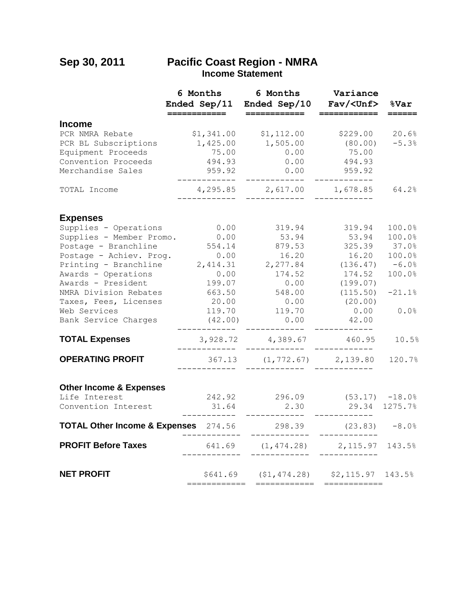# **Sep 30, 2011 Pacific Coast Region - NMRA Income Statement**

|                                                                                                                                                                                                                                                                      | 6 Months<br>Ended Sep/11<br>==========                                                                                | 6 Months<br>Ended Sep/10<br>_________                                                                                   | Variance<br>Fav/ <unf></unf>                                                                                                 | %Var                                                                         |
|----------------------------------------------------------------------------------------------------------------------------------------------------------------------------------------------------------------------------------------------------------------------|-----------------------------------------------------------------------------------------------------------------------|-------------------------------------------------------------------------------------------------------------------------|------------------------------------------------------------------------------------------------------------------------------|------------------------------------------------------------------------------|
| <b>Income</b>                                                                                                                                                                                                                                                        |                                                                                                                       |                                                                                                                         |                                                                                                                              |                                                                              |
| PCR NMRA Rebate<br>PCR BL Subscriptions<br>Equipment Proceeds<br>Convention Proceeds<br>Merchandise Sales                                                                                                                                                            | \$1,341.00<br>1,425.00<br>75.00<br>494.93<br>959.92<br>------------                                                   | \$1,112.00<br>1,505.00<br>0.00<br>0.00<br>0.00<br>____________                                                          | \$229.00<br>(80.00)<br>75.00<br>494.93<br>959.92<br>____________                                                             | 20.6%<br>$-5.3%$                                                             |
| TOTAL Income                                                                                                                                                                                                                                                         | . _ _ _ _ _ _ _                                                                                                       | 4,295.85 2,617.00                                                                                                       | 1,678.85                                                                                                                     | 64.2%                                                                        |
| <b>Expenses</b>                                                                                                                                                                                                                                                      |                                                                                                                       |                                                                                                                         |                                                                                                                              |                                                                              |
| Supplies - Operations<br>Supplies - Member Promo.<br>Postage - Branchline<br>Postage - Achiev. Prog.<br>Printing - Branchline<br>Awards - Operations<br>Awards - President<br>NMRA Division Rebates<br>Taxes, Fees, Licenses<br>Web Services<br>Bank Service Charges | 0.00<br>0.00<br>554.14<br>0.00<br>2,414.31<br>0.00<br>199.07<br>663.50<br>20.00<br>119.70<br>(42.00)<br>------------- | 319.94<br>53.94<br>879.53<br>16.20<br>2,277.84<br>174.52<br>0.00<br>548.00<br>$0.00$<br>119.70<br>0.00<br>------------- | 319.94<br>53.94<br>325.39<br>16.20<br>(136.47)<br>174.52<br>(199.07)<br>(115.50)<br>(20.00)<br>0.00<br>42.00<br>------------ | 100.0%<br>100.0%<br>37.0%<br>100.0%<br>$-6.0%$<br>100.0%<br>$-21.1%$<br>0.0% |
| <b>TOTAL Expenses</b>                                                                                                                                                                                                                                                | . _ _ _ _ _ _ _ _ _ _ _                                                                                               | 3,928.72 4,389.67 460.95<br>------------                                                                                | ------------                                                                                                                 | 10.5%                                                                        |
| <b>OPERATING PROFIT</b>                                                                                                                                                                                                                                              |                                                                                                                       | 367.13 (1,772.67) 2,139.80                                                                                              |                                                                                                                              | 120.7%                                                                       |
| <b>Other Income &amp; Expenses</b><br>Life Interest<br>Convention Interest                                                                                                                                                                                           | 31.64<br>----------                                                                                                   | 242.92 296.09<br>2.30<br>-------------                                                                                  | $(53.17)$ $-18.0\%$<br>29.34 1275.7%<br>____________                                                                         |                                                                              |
| TOTAL Other Income & Expenses 274.56 298.39 (23.83) -8.0%                                                                                                                                                                                                            |                                                                                                                       | -------------                                                                                                           | ------------                                                                                                                 |                                                                              |
| <b>PROFIT Before Taxes</b>                                                                                                                                                                                                                                           | ___________                                                                                                           | 641.69 (1,474.28) 2,115.97                                                                                              |                                                                                                                              | 143.5%                                                                       |
| <b>NET PROFIT</b>                                                                                                                                                                                                                                                    | ============                                                                                                          | \$641.69 (\$1,474.28) \$2,115.97 143.5%<br>============                                                                 | ============                                                                                                                 |                                                                              |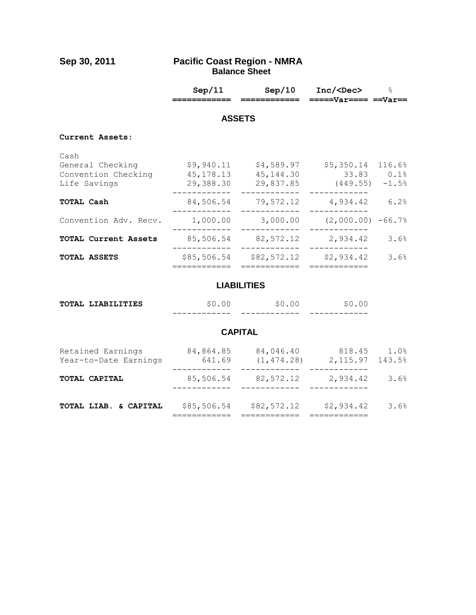#### **Sep 30, 2011 Pacific Coast Region - NMRA Balance Sheet**

|                                                                 | Sep/11                               | Sep/10<br>=========                   | Inc/ <dec><br/><math>====Var===Var==</math></dec>      | $\approx$ |  |
|-----------------------------------------------------------------|--------------------------------------|---------------------------------------|--------------------------------------------------------|-----------|--|
| <b>ASSETS</b>                                                   |                                      |                                       |                                                        |           |  |
| Current Assets:                                                 |                                      |                                       |                                                        |           |  |
| Cash<br>General Checking<br>Convention Checking<br>Life Savings | \$9,940.11<br>45,178.13<br>29,388.30 | \$4,589.97<br>45, 144.30<br>29,837.85 | \$5,350.14 116.6%<br>$33.83$ 0.1%<br>$(449.55) - 1.58$ |           |  |
| <b>TOTAL Cash</b>                                               | 84,506.54                            | 79,572.12                             | 4,934.42                                               | 6.2%      |  |
| Convention Adv. Recv.                                           | 1,000.00                             | 3,000.00                              | $(2,000.00)$ -66.7%                                    |           |  |
| TOTAL Current Assets                                            | 85,506.54                            | 82,572.12                             | 2,934.42                                               | 3.6%      |  |
| TOTAL ASSETS                                                    | \$85,506.54                          | \$82,572.12                           | \$2,934.42                                             | 3.6%      |  |

# **LIABILITIES**

| TOTAL LIABILITIES |              |               |              |
|-------------------|--------------|---------------|--------------|
|                   | ____________ | _____________ | ____________ |

# **CAPITAL**

| TOTAL LIAB. & CAPITAL                      | \$85,506.54         | \$82,572.12              | \$2,934.42         | 3.6%           |
|--------------------------------------------|---------------------|--------------------------|--------------------|----------------|
| TOTAL CAPITAL                              | 85,506.54           | 82,572.12                | 2,934.42           | 3.6%           |
| Retained Earnings<br>Year-to-Date Earnings | 84,864.85<br>641.69 | 84,046.40<br>(1, 474.28) | 818.45<br>2,115.97 | 1.0%<br>143.5% |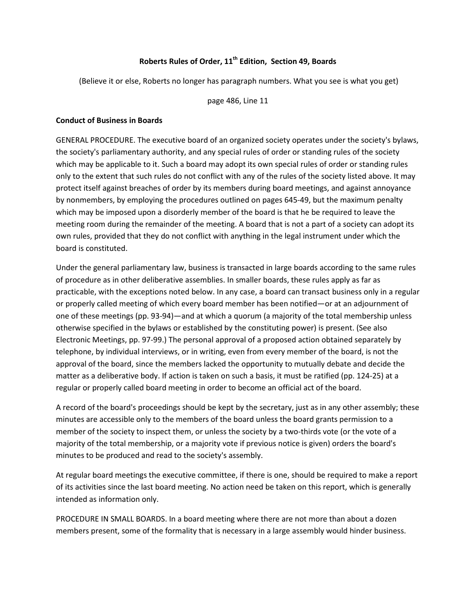## **Roberts Rules of Order, 11th Edition, Section 49, Boards**

(Believe it or else, Roberts no longer has paragraph numbers. What you see is what you get)

page 486, Line 11

#### **Conduct of Business in Boards**

GENERAL PROCEDURE. The executive board of an organized society operates under the society's bylaws, the society's parliamentary authority, and any special rules of order or standing rules of the society which may be applicable to it. Such a board may adopt its own special rules of order or standing rules only to the extent that such rules do not conflict with any of the rules of the society listed above. It may protect itself against breaches of order by its members during board meetings, and against annoyance by nonmembers, by employing the procedures outlined on pages 645-49, but the maximum penalty which may be imposed upon a disorderly member of the board is that he be required to leave the meeting room during the remainder of the meeting. A board that is not a part of a society can adopt its own rules, provided that they do not conflict with anything in the legal instrument under which the board is constituted.

Under the general parliamentary law, business is transacted in large boards according to the same rules of procedure as in other deliberative assemblies. In smaller boards, these rules apply as far as practicable, with the exceptions noted below. In any case, a board can transact business only in a regular or properly called meeting of which every board member has been notified—or at an adjournment of one of these meetings (pp. 93-94)—and at which a quorum (a majority of the total membership unless otherwise specified in the bylaws or established by the constituting power) is present. (See also Electronic Meetings, pp. 97-99.) The personal approval of a proposed action obtained separately by telephone, by individual interviews, or in writing, even from every member of the board, is not the approval of the board, since the members lacked the opportunity to mutually debate and decide the matter as a deliberative body. If action is taken on such a basis, it must be ratified (pp. 124-25) at a regular or properly called board meeting in order to become an official act of the board.

A record of the board's proceedings should be kept by the secretary, just as in any other assembly; these minutes are accessible only to the members of the board unless the board grants permission to a member of the society to inspect them, or unless the society by a two-thirds vote (or the vote of a majority of the total membership, or a majority vote if previous notice is given) orders the board's minutes to be produced and read to the society's assembly.

At regular board meetings the executive committee, if there is one, should be required to make a report of its activities since the last board meeting. No action need be taken on this report, which is generally intended as information only.

PROCEDURE IN SMALL BOARDS. In a board meeting where there are not more than about a dozen members present, some of the formality that is necessary in a large assembly would hinder business.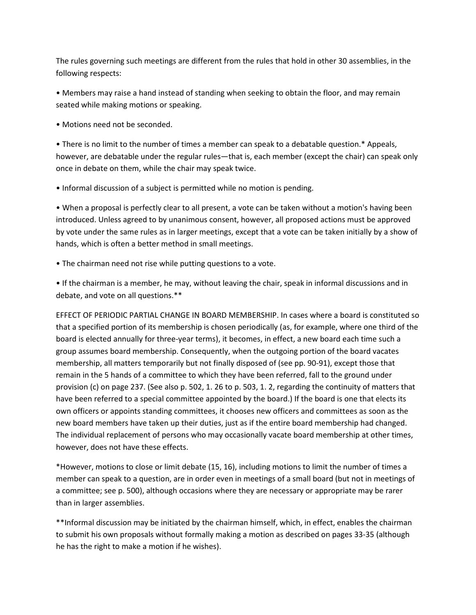The rules governing such meetings are different from the rules that hold in other 30 assemblies, in the following respects:

• Members may raise a hand instead of standing when seeking to obtain the floor, and may remain seated while making motions or speaking.

• Motions need not be seconded.

• There is no limit to the number of times a member can speak to a debatable question.\* Appeals, however, are debatable under the regular rules—that is, each member (except the chair) can speak only once in debate on them, while the chair may speak twice.

• Informal discussion of a subject is permitted while no motion is pending.

• When a proposal is perfectly clear to all present, a vote can be taken without a motion's having been introduced. Unless agreed to by unanimous consent, however, all proposed actions must be approved by vote under the same rules as in larger meetings, except that a vote can be taken initially by a show of hands, which is often a better method in small meetings.

• The chairman need not rise while putting questions to a vote.

• If the chairman is a member, he may, without leaving the chair, speak in informal discussions and in debate, and vote on all questions.\*\*

EFFECT OF PERIODIC PARTIAL CHANGE IN BOARD MEMBERSHIP. In cases where a board is constituted so that a specified portion of its membership is chosen periodically (as, for example, where one third of the board is elected annually for three-year terms), it becomes, in effect, a new board each time such a group assumes board membership. Consequently, when the outgoing portion of the board vacates membership, all matters temporarily but not finally disposed of (see pp. 90-91), except those that remain in the 5 hands of a committee to which they have been referred, fall to the ground under provision (c) on page 237. (See also p. 502, 1. 26 to p. 503, 1. 2, regarding the continuity of matters that have been referred to a special committee appointed by the board.) If the board is one that elects its own officers or appoints standing committees, it chooses new officers and committees as soon as the new board members have taken up their duties, just as if the entire board membership had changed. The individual replacement of persons who may occasionally vacate board membership at other times, however, does not have these effects.

\*However, motions to close or limit debate (15, 16), including motions to limit the number of times a member can speak to a question, are in order even in meetings of a small board (but not in meetings of a committee; see p. 500), although occasions where they are necessary or appropriate may be rarer than in larger assemblies.

\*\*Informal discussion may be initiated by the chairman himself, which, in effect, enables the chairman to submit his own proposals without formally making a motion as described on pages 33-35 (although he has the right to make a motion if he wishes).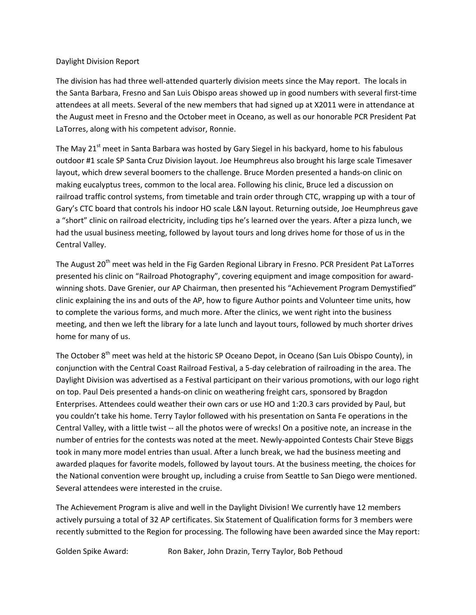#### Daylight Division Report

The division has had three well-attended quarterly division meets since the May report. The locals in the Santa Barbara, Fresno and San Luis Obispo areas showed up in good numbers with several first-time attendees at all meets. Several of the new members that had signed up at X2011 were in attendance at the August meet in Fresno and the October meet in Oceano, as well as our honorable PCR President Pat LaTorres, along with his competent advisor, Ronnie.

The May 21<sup>st</sup> meet in Santa Barbara was hosted by Gary Siegel in his backyard, home to his fabulous outdoor #1 scale SP Santa Cruz Division layout. Joe Heumphreus also brought his large scale Timesaver layout, which drew several boomers to the challenge. Bruce Morden presented a hands-on clinic on making eucalyptus trees, common to the local area. Following his clinic, Bruce led a discussion on railroad traffic control systems, from timetable and train order through CTC, wrapping up with a tour of Gary's CTC board that controls his indoor HO scale L&N layout. Returning outside, Joe Heumphreus gave a "short" clinic on railroad electricity, including tips he's learned over the years. After a pizza lunch, we had the usual business meeting, followed by layout tours and long drives home for those of us in the Central Valley.

The August 20<sup>th</sup> meet was held in the Fig Garden Regional Library in Fresno. PCR President Pat LaTorres presented his clinic on "Railroad Photography", covering equipment and image composition for awardwinning shots. Dave Grenier, our AP Chairman, then presented his "Achievement Program Demystified" clinic explaining the ins and outs of the AP, how to figure Author points and Volunteer time units, how to complete the various forms, and much more. After the clinics, we went right into the business meeting, and then we left the library for a late lunch and layout tours, followed by much shorter drives home for many of us.

The October 8<sup>th</sup> meet was held at the historic SP Oceano Depot, in Oceano (San Luis Obispo County), in conjunction with the Central Coast Railroad Festival, a 5-day celebration of railroading in the area. The Daylight Division was advertised as a Festival participant on their various promotions, with our logo right on top. Paul Deis presented a hands-on clinic on weathering freight cars, sponsored by Bragdon Enterprises. Attendees could weather their own cars or use HO and 1:20.3 cars provided by Paul, but you couldn't take his home. Terry Taylor followed with his presentation on Santa Fe operations in the Central Valley, with a little twist -- all the photos were of wrecks! On a positive note, an increase in the number of entries for the contests was noted at the meet. Newly-appointed Contests Chair Steve Biggs took in many more model entries than usual. After a lunch break, we had the business meeting and awarded plaques for favorite models, followed by layout tours. At the business meeting, the choices for the National convention were brought up, including a cruise from Seattle to San Diego were mentioned. Several attendees were interested in the cruise.

The Achievement Program is alive and well in the Daylight Division! We currently have 12 members actively pursuing a total of 32 AP certificates. Six Statement of Qualification forms for 3 members were recently submitted to the Region for processing. The following have been awarded since the May report:

Golden Spike Award: Ron Baker, John Drazin, Terry Taylor, Bob Pethoud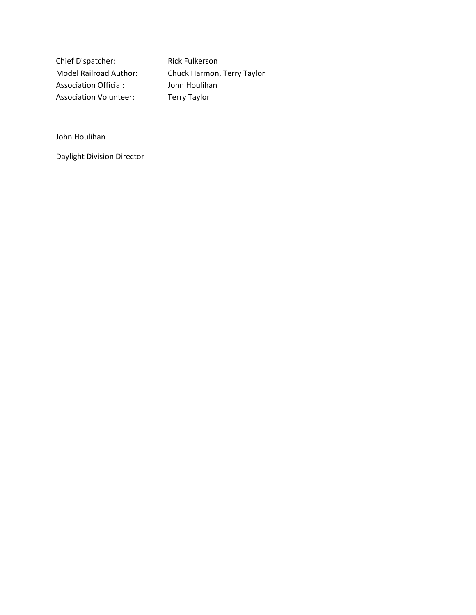Chief Dispatcher: Rick Fulkerson Association Official: John Houlihan Association Volunteer: Terry Taylor

Model Railroad Author: Chuck Harmon, Terry Taylor

John Houlihan

Daylight Division Director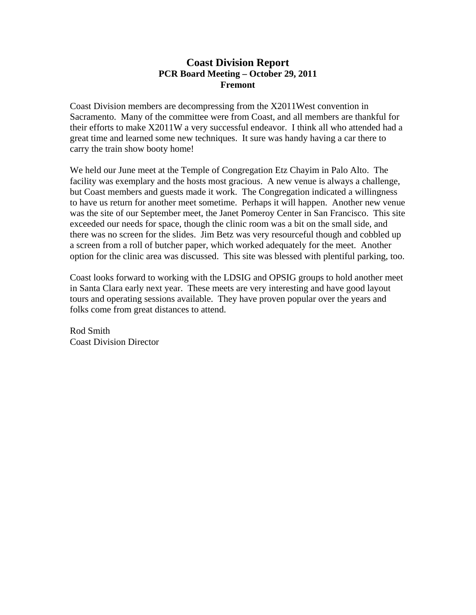# **Coast Division Report PCR Board Meeting – October 29, 2011 Fremont**

Coast Division members are decompressing from the X2011West convention in Sacramento. Many of the committee were from Coast, and all members are thankful for their efforts to make X2011W a very successful endeavor. I think all who attended had a great time and learned some new techniques. It sure was handy having a car there to carry the train show booty home!

We held our June meet at the Temple of Congregation Etz Chayim in Palo Alto. The facility was exemplary and the hosts most gracious. A new venue is always a challenge, but Coast members and guests made it work. The Congregation indicated a willingness to have us return for another meet sometime. Perhaps it will happen. Another new venue was the site of our September meet, the Janet Pomeroy Center in San Francisco. This site exceeded our needs for space, though the clinic room was a bit on the small side, and there was no screen for the slides. Jim Betz was very resourceful though and cobbled up a screen from a roll of butcher paper, which worked adequately for the meet. Another option for the clinic area was discussed. This site was blessed with plentiful parking, too.

Coast looks forward to working with the LDSIG and OPSIG groups to hold another meet in Santa Clara early next year. These meets are very interesting and have good layout tours and operating sessions available. They have proven popular over the years and folks come from great distances to attend.

Rod Smith Coast Division Director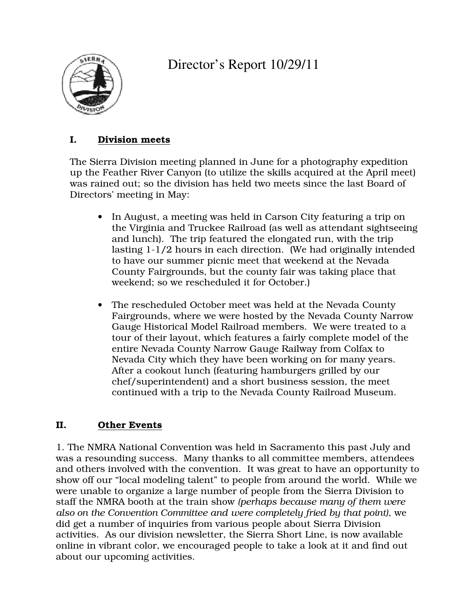

Director's Report 10/29/11

# I. Division meets

The Sierra Division meeting planned in June for a photography expedition up the Feather River Canyon (to utilize the skills acquired at the April meet) was rained out; so the division has held two meets since the last Board of Directors' meeting in May:

- In August, a meeting was held in Carson City featuring a trip on the Virginia and Truckee Railroad (as well as attendant sightseeing and lunch). The trip featured the elongated run, with the trip lasting 1-1/2 hours in each direction. (We had originally intended to have our summer picnic meet that weekend at the Nevada County Fairgrounds, but the county fair was taking place that weekend; so we rescheduled it for October.)
- The rescheduled October meet was held at the Nevada County Fairgrounds, where we were hosted by the Nevada County Narrow Gauge Historical Model Railroad members. We were treated to a tour of their layout, which features a fairly complete model of the entire Nevada County Narrow Gauge Railway from Colfax to Nevada City which they have been working on for many years. After a cookout lunch (featuring hamburgers grilled by our chef/superintendent) and a short business session, the meet continued with a trip to the Nevada County Railroad Museum.

# II. Other Events

1. The NMRA National Convention was held in Sacramento this past July and was a resounding success. Many thanks to all committee members, attendees and others involved with the convention. It was great to have an opportunity to show off our "local modeling talent" to people from around the world. While we were unable to organize a large number of people from the Sierra Division to staff the NMRA booth at the train show *(perhaps because many of them were also on the Convention Committee and were completely fried by that point)*, we did get a number of inquiries from various people about Sierra Division activities. As our division newsletter, the Sierra Short Line, is now available online in vibrant color, we encouraged people to take a look at it and find out about our upcoming activities.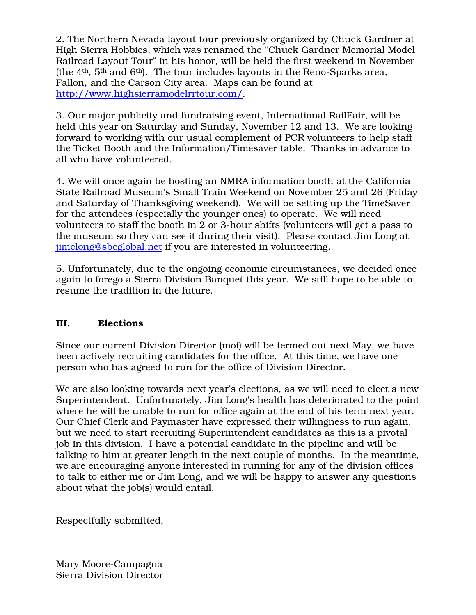2. The Northern Nevada layout tour previously organized by Chuck Gardner at High Sierra Hobbies, which was renamed the "Chuck Gardner Memorial Model Railroad Layout Tour" in his honor, will be held the first weekend in November (the  $4<sup>th</sup>$ ,  $5<sup>th</sup>$  and  $6<sup>th</sup>$ ). The tour includes layouts in the Reno-Sparks area, Fallon, and the Carson City area. Maps can be found at http://www.highsierramodelrrtour.com/.

3. Our major publicity and fundraising event, International RailFair, will be held this year on Saturday and Sunday, November 12 and 13. We are looking forward to working with our usual complement of PCR volunteers to help staff the Ticket Booth and the Information/Timesaver table. Thanks in advance to all who have volunteered.

4. We will once again be hosting an NMRA information booth at the California State Railroad Museum's Small Train Weekend on November 25 and 26 (Friday and Saturday of Thanksgiving weekend). We will be setting up the TimeSaver for the attendees (especially the younger ones) to operate. We will need volunteers to staff the booth in 2 or 3-hour shifts (volunteers will get a pass to the museum so they can see it during their visit). Please contact Jim Long at jimclong@sbcglobal.net if you are interested in volunteering.

5. Unfortunately, due to the ongoing economic circumstances, we decided once again to forego a Sierra Division Banquet this year. We still hope to be able to resume the tradition in the future.

# III. Elections

Since our current Division Director (moi) will be termed out next May, we have been actively recruiting candidates for the office. At this time, we have one person who has agreed to run for the office of Division Director.

We are also looking towards next year's elections, as we will need to elect a new Superintendent. Unfortunately, Jim Long's health has deteriorated to the point where he will be unable to run for office again at the end of his term next year. Our Chief Clerk and Paymaster have expressed their willingness to run again, but we need to start recruiting Superintendent candidates as this is a pivotal job in this division. I have a potential candidate in the pipeline and will be talking to him at greater length in the next couple of months. In the meantime, we are encouraging anyone interested in running for any of the division offices to talk to either me or Jim Long, and we will be happy to answer any questions about what the job(s) would entail.

Respectfully submitted,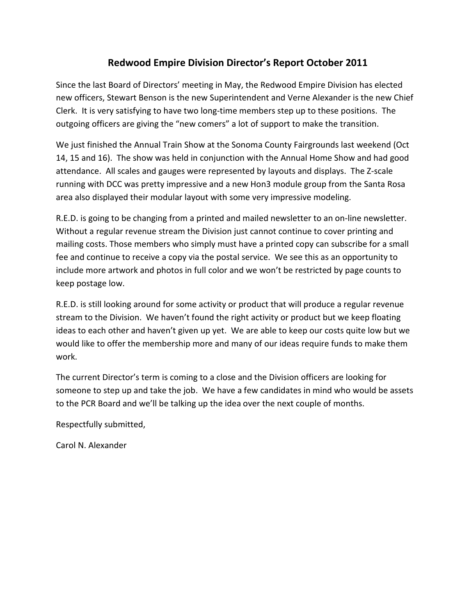# **Redwood Empire Division Director's Report October 2011**

Since the last Board of Directors' meeting in May, the Redwood Empire Division has elected new officers, Stewart Benson is the new Superintendent and Verne Alexander is the new Chief Clerk. It is very satisfying to have two long-time members step up to these positions. The outgoing officers are giving the "new comers" a lot of support to make the transition.

We just finished the Annual Train Show at the Sonoma County Fairgrounds last weekend (Oct 14, 15 and 16). The show was held in conjunction with the Annual Home Show and had good attendance. All scales and gauges were represented by layouts and displays. The Z-scale running with DCC was pretty impressive and a new Hon3 module group from the Santa Rosa area also displayed their modular layout with some very impressive modeling.

R.E.D. is going to be changing from a printed and mailed newsletter to an on-line newsletter. Without a regular revenue stream the Division just cannot continue to cover printing and mailing costs. Those members who simply must have a printed copy can subscribe for a small fee and continue to receive a copy via the postal service. We see this as an opportunity to include more artwork and photos in full color and we won't be restricted by page counts to keep postage low.

R.E.D. is still looking around for some activity or product that will produce a regular revenue stream to the Division. We haven't found the right activity or product but we keep floating ideas to each other and haven't given up yet. We are able to keep our costs quite low but we would like to offer the membership more and many of our ideas require funds to make them work.

The current Director's term is coming to a close and the Division officers are looking for someone to step up and take the job. We have a few candidates in mind who would be assets to the PCR Board and we'll be talking up the idea over the next couple of months.

Respectfully submitted,

Carol N. Alexander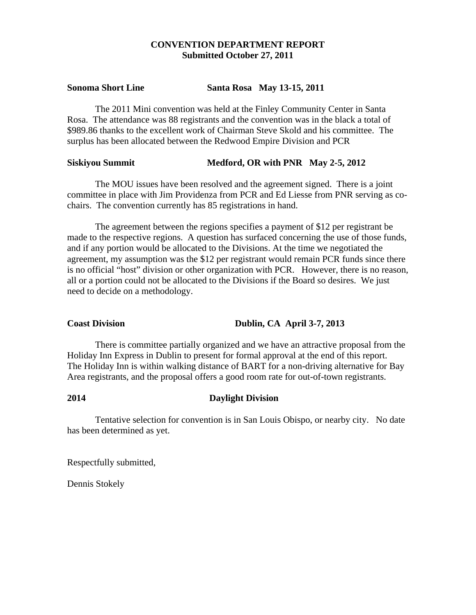### **CONVENTION DEPARTMENT REPORT Submitted October 27, 2011**

#### **Sonoma Short Line Santa Rosa May 13-15, 2011**

The 2011 Mini convention was held at the Finley Community Center in Santa Rosa. The attendance was 88 registrants and the convention was in the black a total of \$989.86 thanks to the excellent work of Chairman Steve Skold and his committee. The surplus has been allocated between the Redwood Empire Division and PCR

#### **Siskiyou Summit** Medford, OR with PNR May 2-5, 2012

 The MOU issues have been resolved and the agreement signed. There is a joint committee in place with Jim Providenza from PCR and Ed Liesse from PNR serving as cochairs. The convention currently has 85 registrations in hand.

 The agreement between the regions specifies a payment of \$12 per registrant be made to the respective regions. A question has surfaced concerning the use of those funds, and if any portion would be allocated to the Divisions. At the time we negotiated the agreement, my assumption was the \$12 per registrant would remain PCR funds since there is no official "host" division or other organization with PCR. However, there is no reason, all or a portion could not be allocated to the Divisions if the Board so desires. We just need to decide on a methodology.

Coast Division Dublin, CA April 3-7, 2013

 There is committee partially organized and we have an attractive proposal from the Holiday Inn Express in Dublin to present for formal approval at the end of this report. The Holiday Inn is within walking distance of BART for a non-driving alternative for Bay Area registrants, and the proposal offers a good room rate for out-of-town registrants.

### **2014 Daylight Division**

 Tentative selection for convention is in San Louis Obispo, or nearby city. No date has been determined as yet.

Respectfully submitted,

Dennis Stokely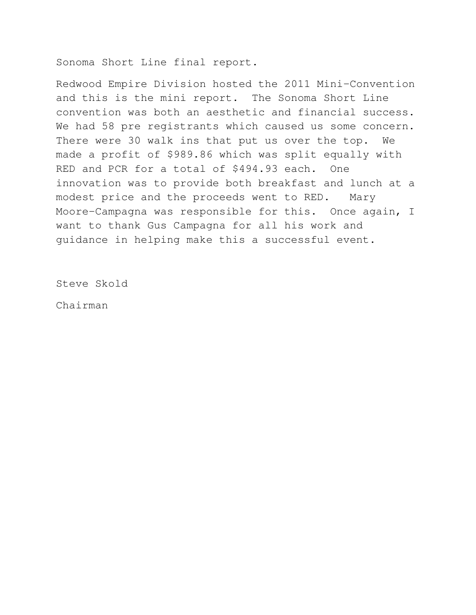Sonoma Short Line final report.

Redwood Empire Division hosted the 2011 Mini-Convention and this is the mini report. The Sonoma Short Line convention was both an aesthetic and financial success. We had 58 pre registrants which caused us some concern. There were 30 walk ins that put us over the top. We made a profit of \$989.86 which was split equally with RED and PCR for a total of \$494.93 each. One innovation was to provide both breakfast and lunch at a modest price and the proceeds went to RED. Mary Moore-Campagna was responsible for this. Once again, I want to thank Gus Campagna for all his work and guidance in helping make this a successful event.

Steve Skold

Chairman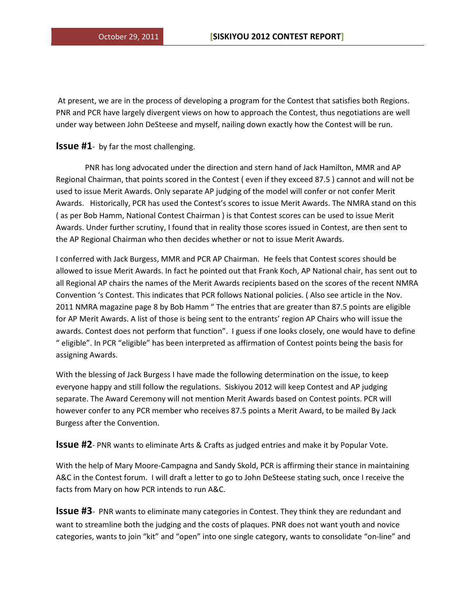At present, we are in the process of developing a program for the Contest that satisfies both Regions. PNR and PCR have largely divergent views on how to approach the Contest, thus negotiations are well under way between John DeSteese and myself, nailing down exactly how the Contest will be run.

#### **Issue #1**- by far the most challenging.

 PNR has long advocated under the direction and stern hand of Jack Hamilton, MMR and AP Regional Chairman, that points scored in the Contest ( even if they exceed 87.5 ) cannot and will not be used to issue Merit Awards. Only separate AP judging of the model will confer or not confer Merit Awards. Historically, PCR has used the Contest's scores to issue Merit Awards. The NMRA stand on this ( as per Bob Hamm, National Contest Chairman ) is that Contest scores can be used to issue Merit Awards. Under further scrutiny, I found that in reality those scores issued in Contest, are then sent to the AP Regional Chairman who then decides whether or not to issue Merit Awards.

I conferred with Jack Burgess, MMR and PCR AP Chairman. He feels that Contest scores should be allowed to issue Merit Awards. In fact he pointed out that Frank Koch, AP National chair, has sent out to all Regional AP chairs the names of the Merit Awards recipients based on the scores of the recent NMRA Convention 's Contest. This indicates that PCR follows National policies. ( Also see article in the Nov. 2011 NMRA magazine page 8 by Bob Hamm " The entries that are greater than 87.5 points are eligible for AP Merit Awards. A list of those is being sent to the entrants' region AP Chairs who will issue the awards. Contest does not perform that function". I guess if one looks closely, one would have to define " eligible". In PCR "eligible" has been interpreted as affirmation of Contest points being the basis for assigning Awards.

With the blessing of Jack Burgess I have made the following determination on the issue, to keep everyone happy and still follow the regulations. Siskiyou 2012 will keep Contest and AP judging separate. The Award Ceremony will not mention Merit Awards based on Contest points. PCR will however confer to any PCR member who receives 87.5 points a Merit Award, to be mailed By Jack Burgess after the Convention.

**Issue #2**- PNR wants to eliminate Arts & Crafts as judged entries and make it by Popular Vote.

With the help of Mary Moore-Campagna and Sandy Skold, PCR is affirming their stance in maintaining A&C in the Contest forum. I will draft a letter to go to John DeSteese stating such, once I receive the facts from Mary on how PCR intends to run A&C.

**Issue #3**- PNR wants to eliminate many categories in Contest. They think they are redundant and want to streamline both the judging and the costs of plaques. PNR does not want youth and novice categories, wants to join "kit" and "open" into one single category, wants to consolidate "on-line" and